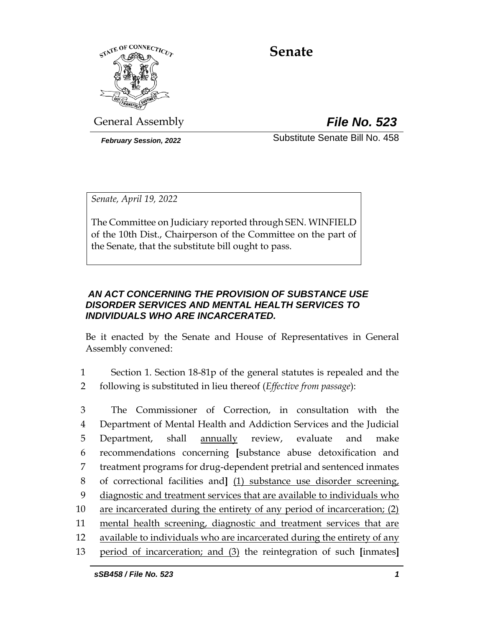

# **Senate**

General Assembly *File No. 523*

*February Session, 2022* Substitute Senate Bill No. 458

*Senate, April 19, 2022*

The Committee on Judiciary reported through SEN. WINFIELD of the 10th Dist., Chairperson of the Committee on the part of the Senate, that the substitute bill ought to pass.

# *AN ACT CONCERNING THE PROVISION OF SUBSTANCE USE DISORDER SERVICES AND MENTAL HEALTH SERVICES TO INDIVIDUALS WHO ARE INCARCERATED.*

Be it enacted by the Senate and House of Representatives in General Assembly convened:

1 Section 1. Section 18-81p of the general statutes is repealed and the 2 following is substituted in lieu thereof (*Effective from passage*):

 The Commissioner of Correction, in consultation with the Department of Mental Health and Addiction Services and the Judicial Department, shall annually review, evaluate and make recommendations concerning **[**substance abuse detoxification and treatment programs for drug-dependent pretrial and sentenced inmates of correctional facilities and**]** (1) substance use disorder screening, diagnostic and treatment services that are available to individuals who are incarcerated during the entirety of any period of incarceration; (2) mental health screening, diagnostic and treatment services that are available to individuals who are incarcerated during the entirety of any period of incarceration; and (3) the reintegration of such **[**inmates**]**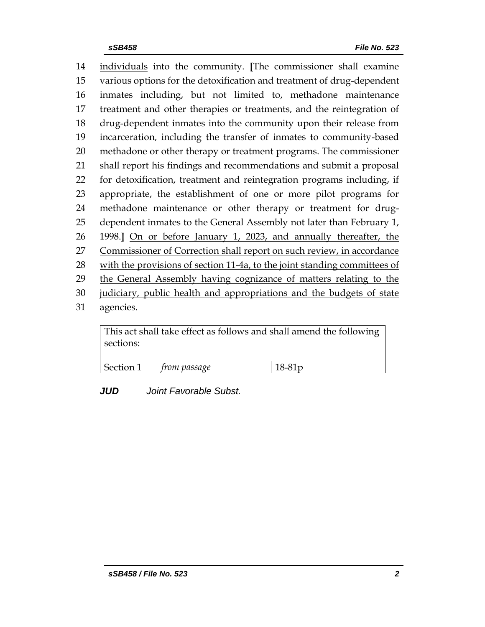individuals into the community. **[**The commissioner shall examine various options for the detoxification and treatment of drug-dependent inmates including, but not limited to, methadone maintenance treatment and other therapies or treatments, and the reintegration of drug-dependent inmates into the community upon their release from incarceration, including the transfer of inmates to community-based methadone or other therapy or treatment programs. The commissioner shall report his findings and recommendations and submit a proposal for detoxification, treatment and reintegration programs including, if appropriate, the establishment of one or more pilot programs for methadone maintenance or other therapy or treatment for drug- dependent inmates to the General Assembly not later than February 1, 1998.**]** On or before January 1, 2023, and annually thereafter, the Commissioner of Correction shall report on such review, in accordance 28 with the provisions of section 11-4a, to the joint standing committees of the General Assembly having cognizance of matters relating to the judiciary, public health and appropriations and the budgets of state agencies.

This act shall take effect as follows and shall amend the following sections:

| Section 1 | <i>trom passage</i> | $18-81p$ |
|-----------|---------------------|----------|

*JUD Joint Favorable Subst.*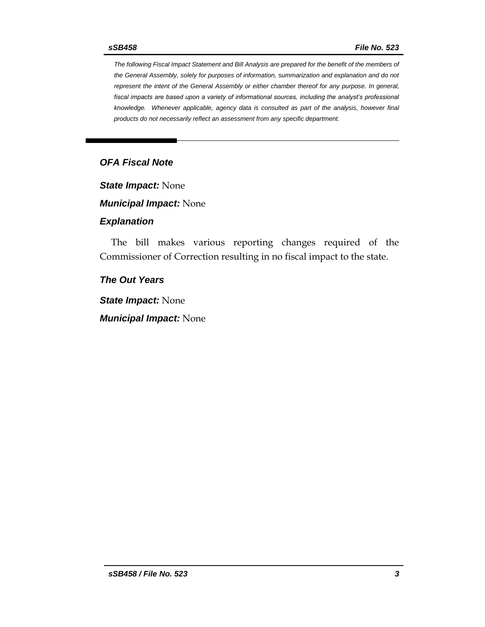*The following Fiscal Impact Statement and Bill Analysis are prepared for the benefit of the members of the General Assembly, solely for purposes of information, summarization and explanation and do not represent the intent of the General Assembly or either chamber thereof for any purpose. In general,*  fiscal impacts are based upon a variety of informational sources, including the analyst's professional *knowledge. Whenever applicable, agency data is consulted as part of the analysis, however final products do not necessarily reflect an assessment from any specific department.*

## *OFA Fiscal Note*

*State Impact:* None

*Municipal Impact:* None

#### *Explanation*

The bill makes various reporting changes required of the Commissioner of Correction resulting in no fiscal impact to the state.

### *The Out Years*

*State Impact:* None

*Municipal Impact:* None